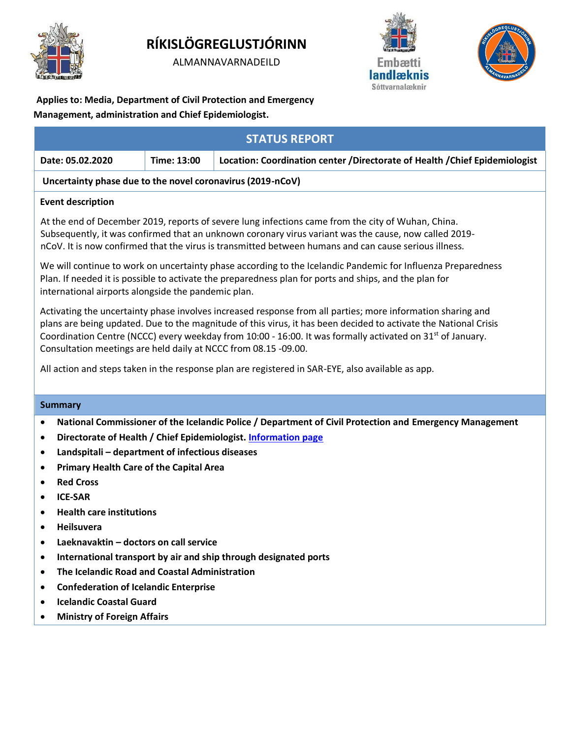

# **RÍKISLÖGREGLUSTJÓRINN**

ALMANNAVARNADEILD





**Applies to: Media, Department of Civil Protection and Emergency** 

# **Management, administration and Chief Epidemiologist.**

| <b>STATUS REPORT</b>                                                                                                                                                                                                                                                                                                                                                                                                                 |             |                                                                              |
|--------------------------------------------------------------------------------------------------------------------------------------------------------------------------------------------------------------------------------------------------------------------------------------------------------------------------------------------------------------------------------------------------------------------------------------|-------------|------------------------------------------------------------------------------|
| Date: 05.02.2020                                                                                                                                                                                                                                                                                                                                                                                                                     | Time: 13:00 | Location: Coordination center / Directorate of Health / Chief Epidemiologist |
| Uncertainty phase due to the novel coronavirus (2019-nCoV)                                                                                                                                                                                                                                                                                                                                                                           |             |                                                                              |
| <b>Event description</b>                                                                                                                                                                                                                                                                                                                                                                                                             |             |                                                                              |
| At the end of December 2019, reports of severe lung infections came from the city of Wuhan, China.<br>Subsequently, it was confirmed that an unknown coronary virus variant was the cause, now called 2019-<br>nCoV. It is now confirmed that the virus is transmitted between humans and can cause serious illness.<br>We will continue to work on uncertainty phase according to the Icelandic Pandemic for Influenza Preparedness |             |                                                                              |
| Plan. If needed it is possible to activate the preparedness plan for ports and ships, and the plan for<br>international airports alongside the pandemic plan.                                                                                                                                                                                                                                                                        |             |                                                                              |
| Activating the uncertainty phase involves increased response from all parties; more information sharing and<br>plans are being updated. Due to the magnitude of this virus, it has been decided to activate the National Crisis<br>Coordination Centre (NCCC) every weekday from 10:00 - 16:00. It was formally activated on 31 <sup>st</sup> of January.<br>Consultation meetings are held daily at NCCC from 08.15 -09.00.         |             |                                                                              |

All action and steps taken in the response plan are registered in SAR-EYE, also available as app.

# **Summary**

- **National Commissioner of the Icelandic Police / Department of Civil Protection and Emergency Management**
- **Directorate of Health / Chief Epidemiologist[. Information page](https://www.landlaeknir.is/um-embaettid/greinar/grein/item38806/Koronaveiran-2019-nCoV-%E2%80%93-Frettir-og-fraedsla/Novel-coronavirus-2019-nCoV--Latest-updates-and-info)**
- **Landspitali – department of infectious diseases**
- **Primary Health Care of the Capital Area**
- **Red Cross**
- **ICE-SAR**
- **Health care institutions**
- **Heilsuvera**
- **Laeknavaktin – doctors on call service**
- **International transport by air and ship through designated ports**
- **The Icelandic Road and Coastal Administration**
- **Confederation of Icelandic Enterprise**
- **Icelandic Coastal Guard**
- **Ministry of Foreign Affairs**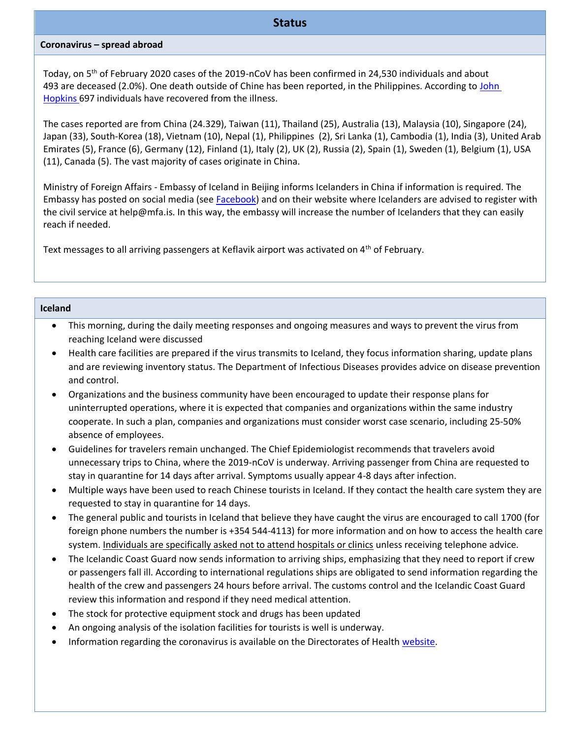#### **Coronavirus – spread abroad**

Today, on 5th of February 2020 cases of the 2019-nCoV has been confirmed in 24,530 individuals and about 493 are deceased (2.0%). One death outside of Chine has been reported, in the Philippines. According to John [Hopkins](https://gisanddata.maps.arcgis.com/apps/opsdashboard/index.html#/bda7594740fd40299423467b48e9ecf6) 697 individuals have recovered from the illness.

The cases reported are from China (24.329), Taiwan (11), Thailand (25), Australia (13), Malaysia (10), Singapore (24), Japan (33), South-Korea (18), Vietnam (10), Nepal (1), Philippines (2), Sri Lanka (1), Cambodia (1), India (3), United Arab Emirates (5), France (6), Germany (12), Finland (1), Italy (2), UK (2), Russia (2), Spain (1), Sweden (1), Belgium (1), USA (11), Canada (5). The vast majority of cases originate in China.

Ministry of Foreign Affairs - Embassy of Iceland in Beijing informs Icelanders in China if information is required. The Embassy has posted on social media (se[e Facebook\)](https://www.facebook.com/utanrikisthjonustan/) and on their website where Icelanders are advised to register with the civil service at help@mfa.is. In this way, the embassy will increase the number of Icelanders that they can easily reach if needed.

Text messages to all arriving passengers at Keflavik airport was activated on 4<sup>th</sup> of February.

#### **Iceland**

- This morning, during the daily meeting responses and ongoing measures and ways to prevent the virus from reaching Iceland were discussed
- Health care facilities are prepared if the virus transmits to Iceland, they focus information sharing, update plans and are reviewing inventory status. The Department of Infectious Diseases provides advice on disease prevention and control.
- Organizations and the business community have been encouraged to update their response plans for uninterrupted operations, where it is expected that companies and organizations within the same industry cooperate. In such a plan, companies and organizations must consider worst case scenario, including 25-50% absence of employees.
- Guidelines for travelers remain unchanged. The Chief Epidemiologist recommends that travelers avoid unnecessary trips to China, where the 2019-nCoV is underway. Arriving passenger from China are requested to stay in quarantine for 14 days after arrival. Symptoms usually appear 4-8 days after infection.
- Multiple ways have been used to reach Chinese tourists in Iceland. If they contact the health care system they are requested to stay in quarantine for 14 days.
- The general public and tourists in Iceland that believe they have caught the virus are encouraged to call 1700 (for foreign phone numbers the number is +354 544-4113) for more information and on how to access the health care system. Individuals are specifically asked not to attend hospitals or clinics unless receiving telephone advice.
- The Icelandic Coast Guard now sends information to arriving ships, emphasizing that they need to report if crew or passengers fall ill. According to international regulations ships are obligated to send information regarding the health of the crew and passengers 24 hours before arrival. The customs control and the Icelandic Coast Guard review this information and respond if they need medical attention.
- The stock for protective equipment stock and drugs has been updated
- An ongoing analysis of the isolation facilities for tourists is well is underway.
- Information regarding the coronavirus is available on the Directorates of Health [website.](https://www.landlaeknir.is/koronaveira/english/)